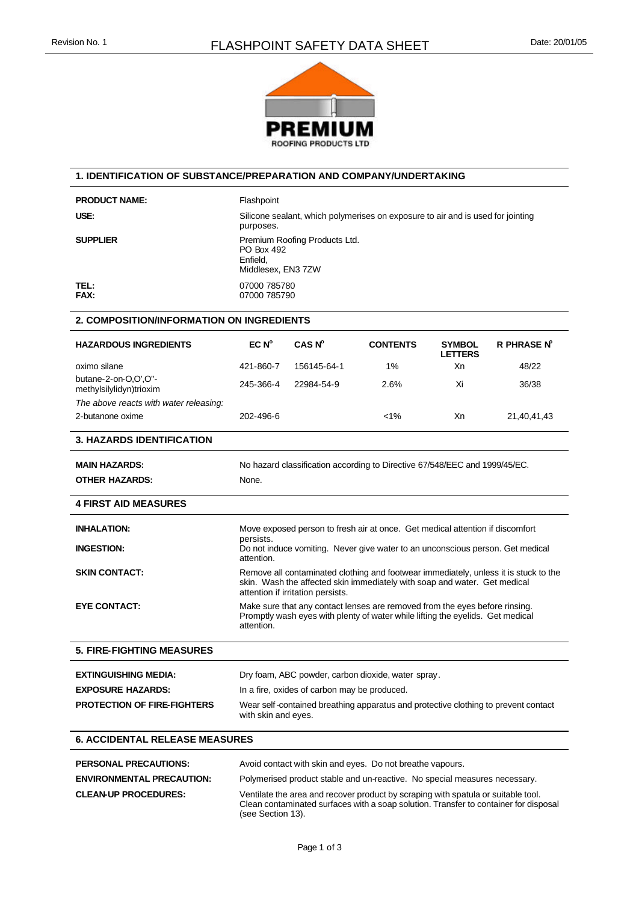

## **1. IDENTIFICATION OF SUBSTANCE/PREPARATION AND COMPANY/UNDERTAKING**

PRODUCT NAME: Flashpoint

USE: USE: Silicone sealant, which polymerises on exposure to air and is used for jointing purposes. **SUPPLIER** Premium Roofing Products Ltd. PO Box 492 Enfield, Middlesex, EN3 7ZW **TEL:** 07000 785780<br> **FAX:** 07000 785790 **FAX:** 07000 785790

## **2. COMPOSITION/INFORMATION ON INGREDIENTS**

| <b>HAZARDOUS INGREDIENTS</b>                               | $EC N^{\circ}$                                                                                                                                                                                         | CAS N <sup>o</sup> | <b>CONTENTS</b> | <b>SYMBOL</b><br><b>LETTERS</b> | <b>R PHRASE Nº</b> |
|------------------------------------------------------------|--------------------------------------------------------------------------------------------------------------------------------------------------------------------------------------------------------|--------------------|-----------------|---------------------------------|--------------------|
| oximo silane                                               | 421-860-7                                                                                                                                                                                              | 156145-64-1        | 1%              | Xn                              | 48/22              |
| butane-2-on-O,O',O"-<br>methylsilylidyn)trioxim            | 245-366-4                                                                                                                                                                                              | 22984-54-9         | 2.6%            | Xi                              | 36/38              |
| The above reacts with water releasing:<br>2-butanone oxime | 202-496-6                                                                                                                                                                                              |                    | $< 1\%$         | Xn                              | 21,40,41,43        |
| <b>3. HAZARDS IDENTIFICATION</b>                           |                                                                                                                                                                                                        |                    |                 |                                 |                    |
| <b>MAIN HAZARDS:</b>                                       | No hazard classification according to Directive 67/548/EEC and 1999/45/EC.                                                                                                                             |                    |                 |                                 |                    |
| <b>OTHER HAZARDS:</b>                                      | None.                                                                                                                                                                                                  |                    |                 |                                 |                    |
| <b>4 FIRST AID MEASURES</b>                                |                                                                                                                                                                                                        |                    |                 |                                 |                    |
| <b>INHALATION:</b>                                         | Move exposed person to fresh air at once. Get medical attention if discomfort<br>persists.                                                                                                             |                    |                 |                                 |                    |
| <b>INGESTION:</b>                                          | Do not induce vomiting. Never give water to an unconscious person. Get medical<br>attention.                                                                                                           |                    |                 |                                 |                    |
| <b>SKIN CONTACT:</b>                                       | Remove all contaminated clothing and footwear immediately, unless it is stuck to the<br>skin. Wash the affected skin immediately with soap and water. Get medical<br>attention if irritation persists. |                    |                 |                                 |                    |
| <b>EYE CONTACT:</b>                                        | Make sure that any contact lenses are removed from the eyes before rinsing.<br>Promptly wash eyes with plenty of water while lifting the eyelids. Get medical<br>attention.                            |                    |                 |                                 |                    |
| <b>5. FIRE-FIGHTING MEASURES</b>                           |                                                                                                                                                                                                        |                    |                 |                                 |                    |
| <b>EXTINGUISHING MEDIA:</b>                                | Dry foam, ABC powder, carbon dioxide, water spray.                                                                                                                                                     |                    |                 |                                 |                    |
| <b>EXPOSURE HAZARDS:</b>                                   | In a fire, oxides of carbon may be produced.                                                                                                                                                           |                    |                 |                                 |                    |
| <b>PROTECTION OF FIRE-FIGHTERS</b>                         | Wear self-contained breathing apparatus and protective clothing to prevent contact<br>with skin and eyes.                                                                                              |                    |                 |                                 |                    |
| <b>6. ACCIDENTAL RELEASE MEASURES</b>                      |                                                                                                                                                                                                        |                    |                 |                                 |                    |
|                                                            |                                                                                                                                                                                                        |                    |                 |                                 |                    |

| <b>PERSONAL PRECAUTIONS:</b>     | Avoid contact with skin and eyes. Do not breathe vapours.                                                                                                                                      |  |  |  |
|----------------------------------|------------------------------------------------------------------------------------------------------------------------------------------------------------------------------------------------|--|--|--|
| <b>ENVIRONMENTAL PRECAUTION:</b> | Polymerised product stable and un-reactive. No special measures necessary.                                                                                                                     |  |  |  |
| <b>CLEAN-UP PROCEDURES:</b>      | Ventilate the area and recover product by scraping with spatula or suitable tool.<br>Clean contaminated surfaces with a soap solution. Transfer to container for disposal<br>(see Section 13). |  |  |  |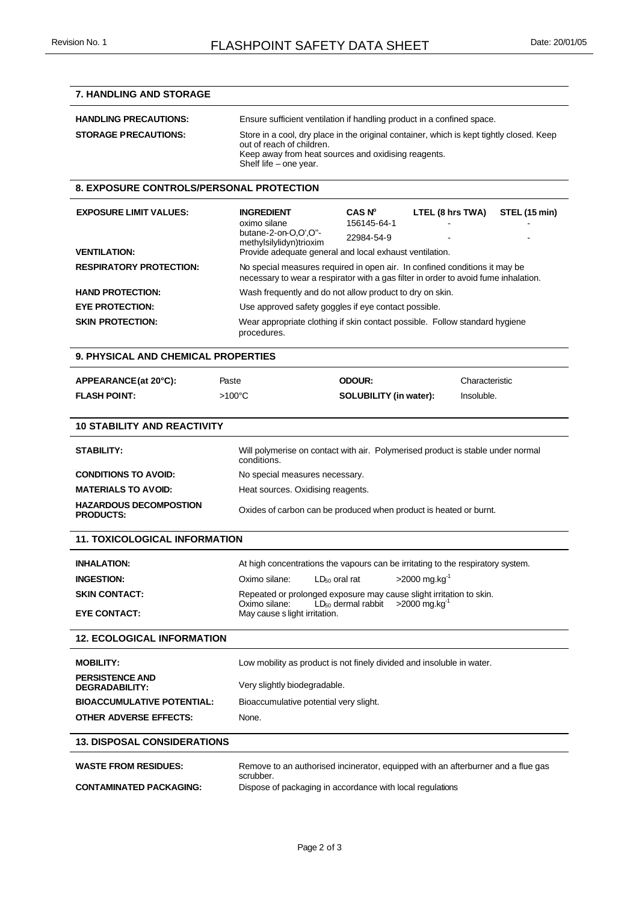## **7. HANDLING AND STORAGE HANDLING PRECAUTIONS:** Ensure sufficient ventilation if handling product in a confined space. **STORAGE PRECAUTIONS:** Store in a cool, dry place in the original container, which is kept tightly closed. Keep out of reach of children. Keep away from heat sources and oxidising reagents. Shelf life – one year. **8. EXPOSURE CONTROLS/PERSONAL PROTECTION EXPOSURE LIMIT VALUES: INGREDIENT CAS N<sup>o</sup> LTEL (8 hrs TWA) STEL (15 min)** oximo silane 156145-64-1 butane-2-on-O,O',O''  $m$ ethylsilylidyn)trioxim 22984-54-9 **VENTILATION:** Provide adequate general and local exhaust ventilation. **RESPIRATORY PROTECTION:** No special measures required in open air. In confined conditions it may be necessary to wear a respirator with a gas filter in order to avoid fume inhalation. **HAND PROTECTION:** Wash frequently and do not allow product to dry on skin. **EYE PROTECTION:** Use approved safety goggles if eye contact possible. **SKIN PROTECTION:** Wear appropriate clothing if skin contact possible. Follow standard hygiene procedures. **9. PHYSICAL AND CHEMICAL PROPERTIES APPEARANCE (at 20°C):** Paste **ODOUR:** Characteristic **FLASH POINT:** >100°C **SOLUBILITY (in water):** Insoluble. **10 STABILITY AND REACTIVITY STABILITY:** Will polymerise on contact with air. Polymerised product is stable under normal conditions. **CONDITIONS TO AVOID:** No special measures necessary. **MATERIALS TO AVOID:** Heat sources. Oxidising reagents. **HAZARDOUS DECOMPOSTION**  Oxides of carbon can be produced when product is heated or burnt. **11. TOXICOLOGICAL INFORMATION INHALATION:** At high concentrations the vapours can be irritating to the respiratory system. **INGESTION:** Oximo silane: LD<sub>50</sub> oral rat  $>2000 \text{ mg} \cdot \text{kg}^{-1}$ **SKIN CONTACT:** Repeated or prolonged exposure may cause slight irritation to skin. Oximo silane:  $LD_{50}$  dermal rabbit  $\geq 2000$  mg.kg **EYE CONTACT:** May cause s light irritation. **12. ECOLOGICAL INFORMATION MOBILITY:** Low mobility as product is not finely divided and insoluble in water. **PERSISTENCE AND**  Very slightly biodegradable. **BIOACCUMULATIVE POTENTIAL:** Bioaccumulative potential very slight. **OTHER ADVERSE EFFECTS:** None. **13. DISPOSAL CONSIDERATIONS** WASTE FROM RESIDUES: Remove to an authorised incinerator, equipped with an afterburner and a flue gas scrubber. **CONTAMINATED PACKAGING:** Dispose of packaging in accordance with local regulations